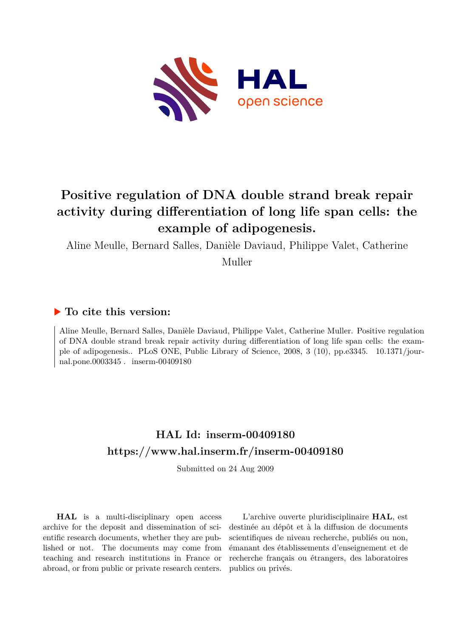

# **Positive regulation of DNA double strand break repair activity during differentiation of long life span cells: the example of adipogenesis.**

Aline Meulle, Bernard Salles, Danièle Daviaud, Philippe Valet, Catherine

Muller

## **To cite this version:**

Aline Meulle, Bernard Salles, Danièle Daviaud, Philippe Valet, Catherine Muller. Positive regulation of DNA double strand break repair activity during differentiation of long life span cells: the example of adipogenesis.. PLoS ONE, Public Library of Science, 2008, 3 (10), pp.e3345. 10.1371/journal.pone.0003345 . inserm-00409180

## **HAL Id: inserm-00409180 <https://www.hal.inserm.fr/inserm-00409180>**

Submitted on 24 Aug 2009

**HAL** is a multi-disciplinary open access archive for the deposit and dissemination of scientific research documents, whether they are published or not. The documents may come from teaching and research institutions in France or abroad, or from public or private research centers.

L'archive ouverte pluridisciplinaire **HAL**, est destinée au dépôt et à la diffusion de documents scientifiques de niveau recherche, publiés ou non, émanant des établissements d'enseignement et de recherche français ou étrangers, des laboratoires publics ou privés.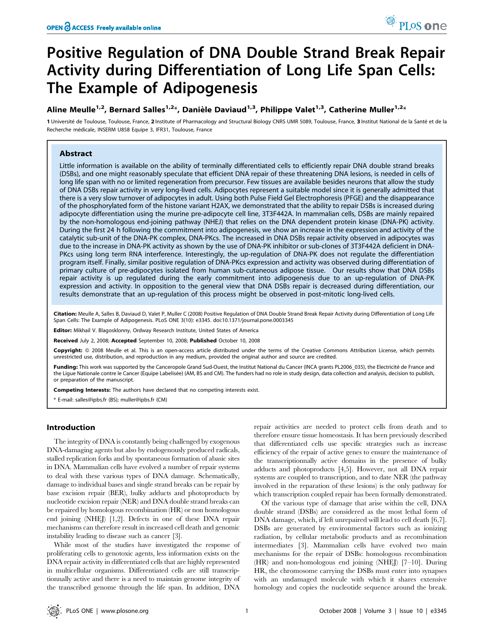# Positive Regulation of DNA Double Strand Break Repair Activity during Differentiation of Long Life Span Cells: The Example of Adipogenesis

## Aline Meulle<sup>1,2</sup>, Bernard Salles<sup>1,2\*</sup>, Danièle Daviaud<sup>1,3</sup>, Philippe Valet<sup>1,3</sup>, Catherine Muller<sup>1,2\*</sup>

1 Université de Toulouse, Toulouse, France, 2 Institute of Pharmacology and Structural Biology CNRS UMR 5089, Toulouse, France, 3 Institut National de la Santé et de la Recherche médicale, INSERM U858 Equipe 3, IFR31, Toulouse, France

## Abstract

Little information is available on the ability of terminally differentiated cells to efficiently repair DNA double strand breaks (DSBs), and one might reasonably speculate that efficient DNA repair of these threatening DNA lesions, is needed in cells of long life span with no or limited regeneration from precursor. Few tissues are available besides neurons that allow the study of DNA DSBs repair activity in very long-lived cells. Adipocytes represent a suitable model since it is generally admitted that there is a very slow turnover of adipocytes in adult. Using both Pulse Field Gel Electrophoresis (PFGE) and the disappearance of the phosphorylated form of the histone variant H2AX, we demonstrated that the ability to repair DSBs is increased during adipocyte differentiation using the murine pre-adipocyte cell line, 3T3F442A. In mammalian cells, DSBs are mainly repaired by the non-homologous end-joining pathway (NHEJ) that relies on the DNA dependent protein kinase (DNA-PK) activity. During the first 24 h following the commitment into adipogenesis, we show an increase in the expression and activity of the catalytic sub-unit of the DNA-PK complex, DNA-PKcs. The increased in DNA DSBs repair activity observed in adipocytes was due to the increase in DNA-PK activity as shown by the use of DNA-PK inhibitor or sub-clones of 3T3F442A deficient in DNA-PKcs using long term RNA interference. Interestingly, the up-regulation of DNA-PK does not regulate the differentiation program itself. Finally, similar positive regulation of DNA-PKcs expression and activity was observed during differentiation of primary culture of pre-adipocytes isolated from human sub-cutaneous adipose tissue. Our results show that DNA DSBs repair activity is up regulated during the early commitment into adipogenesis due to an up-regulation of DNA-PK expression and activity. In opposition to the general view that DNA DSBs repair is decreased during differentiation, our results demonstrate that an up-regulation of this process might be observed in post-mitotic long-lived cells.

Citation: Meulle A, Salles B, Daviaud D, Valet P, Muller C (2008) Positive Regulation of DNA Double Strand Break Repair Activity during Differentiation of Long Life Span Cells: The Example of Adipogenesis. PLoS ONE 3(10): e3345. doi:10.1371/journal.pone.0003345

Editor: Mikhail V. Blagosklonny, Ordway Research Institute, United States of America

Received July 2, 2008; Accepted September 10, 2008; Published October 10, 2008

Copyright: @ 2008 Meulle et al. This is an open-access article distributed under the terms of the Creative Commons Attribution License, which permits unrestricted use, distribution, and reproduction in any medium, provided the original author and source are credited.

Funding: This work was supported by the Canceropole Grand Sud-Ouest, the Institut National du Cancer (INCA grants PL2006\_035), the Electricité de France and the Ligue Nationale contre le Cancer (Equipe Labelisée) (AM, BS and CM). The funders had no role in study design, data collection and analysis, decision to publish, or preparation of the manuscript.

Competing Interests: The authors have declared that no competing interests exist.

\* E-mail: salles@ipbs.fr (BS); muller@ipbs.fr (CM)

## Introduction

The integrity of DNA is constantly being challenged by exogenous DNA-damaging agents but also by endogenously produced radicals, stalled replication forks and by spontaneous formation of abasic sites in DNA. Mammalian cells have evolved a number of repair systems to deal with these various types of DNA damage. Schematically, damage to individual bases and single strand breaks can be repair by base excision repair (BER), bulky adducts and photoproducts by nucleotide excision repair (NER) and DNA double strand breaks can be repaired by homologous recombination (HR) or non homologous end joining (NHEJ) [1,2]. Defects in one of these DNA repair mechanisms can therefore result in increased cell death and genomic instability leading to disease such as cancer [3].

While most of the studies have investigated the response of proliferating cells to genotoxic agents, less information exists on the DNA repair activity in differentiated cells that are highly represented in multicellular organisms. Differentiated cells are still transcriptionnally active and there is a need to maintain genome integrity of the transcribed genome through the life span. In addition, DNA

repair activities are needed to protect cells from death and to therefore ensure tissue homeostasis. It has been previously described that differentiated cells use specific strategies such as increase efficiency of the repair of active genes to ensure the maintenance of the transcriptionnally active domains in the presence of bulky adducts and photoproducts [4,5]. However, not all DNA repair systems are coupled to transcription, and to date NER (the pathway involved in the reparation of these lesions) is the only pathway for which transcription coupled repair has been formally demonstrated.

Of the various type of damage that arise within the cell, DNA double strand (DSBs) are considered as the most lethal form of DNA damage, which, if left unrepaired will lead to cell death [6,7]. DSBs are generated by environmental factors such as ionizing radiation, by cellular metabolic products and as recombination intermediates [3]. Mammalian cells have evolved two main mechanisms for the repair of DSBs: homologous recombination (HR) and non-homologous end joining (NHEJ) [7–10]. During HR, the chromosome carrying the DSBs must enter into synapses with an undamaged molecule with which it shares extensive homology and copies the nucleotide sequence around the break.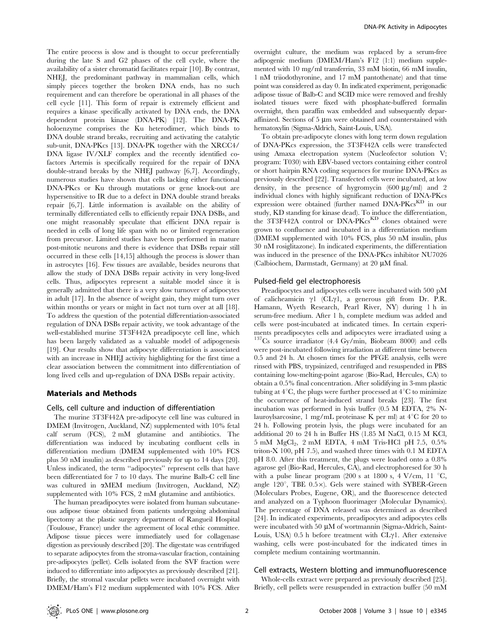The entire process is slow and is thought to occur preferentially during the late S and G2 phases of the cell cycle, where the availability of a sister chromatid facilitates repair [10]. By contrast, NHEJ, the predominant pathway in mammalian cells, which simply pieces together the broken DNA ends, has no such requirement and can therefore be operational in all phases of the cell cycle [11]. This form of repair is extremely efficient and requires a kinase specifically activated by DNA ends, the DNA dependent protein kinase (DNA-PK) [12]. The DNA-PK holoenzyme comprises the Ku heterodimer, which binds to DNA double strand breaks, recruiting and activating the catalytic sub-unit, DNA-PKcs [13]. DNA-PK together with the XRCC4/ DNA ligase IV/XLF complex and the recently identified cofactors Artemis is specifically required for the repair of DNA double-strand breaks by the NHEJ pathway [6,7]. Accordingly, numerous studies have shown that cells lacking either functional DNA-PKcs or Ku through mutations or gene knock-out are hypersensitive to IR due to a defect in DNA double strand breaks repair [6,7]. Little information is available on the ability of terminally differentiated cells to efficiently repair DNA DSBs, and one might reasonably speculate that efficient DNA repair is needed in cells of long life span with no or limited regeneration from precursor. Limited studies have been performed in mature post-mitotic neurons and there is evidence that DSBs repair still occurred in these cells [14,15] although the process is slower than in astrocytes [16]. Few tissues are available, besides neurons that allow the study of DNA DSBs repair activity in very long-lived cells. Thus, adipocytes represent a suitable model since it is generally admitted that there is a very slow turnover of adipocytes in adult [17]. In the absence of weight gain, they might turn over within months or years or might in fact not turn over at all [18]. To address the question of the potential differentiation-associated regulation of DNA DSBs repair activity, we took advantage of the well-established murine 3T3F442A preadipocyte cell line, which has been largely validated as a valuable model of adipogenesis [19]. Our results show that adipocyte differentiation is associated with an increase in NHEJ activity highlighting for the first time a clear association between the commitment into differentiation of long lived cells and up-regulation of DNA DSBs repair activity.

#### Materials and Methods

### Cells, cell culture and induction of differentiation

The murine 3T3F442A pre-adipocyte cell line was cultured in DMEM (Invitrogen, Auckland, NZ) supplemented with 10% fetal calf serum (FCS), 2 mM glutamine and antibiotics. The differentiation was induced by incubating confluent cells in differentiation medium (DMEM supplemented with 10% FCS plus 50 nM insulin) as described previously for up to 14 days [20]. Unless indicated, the term ''adipocytes'' represent cells that have been differentiated for 7 to 10 days. The murine Balb-C cell line was cultured in aMEM medium (Invitrogen, Auckland, NZ) supplemented with 10% FCS, 2 mM glutamine and antibiotics.

The human preadipocytes were isolated from human subcutaneous adipose tissue obtained from patients undergoing abdominal lipectomy at the plastic surgery department of Rangueil Hospital (Toulouse, France) under the agreement of local ethic committee. Adipose tissue pieces were immediately used for collagenase digestion as previously described [20]. The digestate was centrifuged to separate adipocytes from the stroma-vascular fraction, containing pre-adipocytes (pellet). Cells isolated from the SVF fraction were induced to differentiate into adipocytes as previously described [21]. Briefly, the stromal vascular pellets were incubated overnight with DMEM/Ham's F12 medium supplemented with 10% FCS. After

overnight culture, the medium was replaced by a serum-free adipogenic medium (DMEM/Ham's F12 (1:1) medium supplemented with 10 mg/ml transferrin, 33 mM biotin, 66 mM insulin, 1 nM triiodothyronine, and 17 mM pantothenate) and that time point was considered as day 0. In indicated experiment, perigonadic adipose tissue of Balb-C and SCID mice were removed and freshly isolated tissues were fixed with phosphate-buffered formalin overnight, then paraffin wax embedded and subsequently deparaffinized. Sections of  $5 \mu m$  were obtained and counterstained with hematoxylin (Sigma-Aldrich, Saint-Louis, USA).

To obtain pre-adipocyte clones with long term down regulation of DNA-PKcs expression, the 3T3F442A cells were transfected using Amaxa electropation system (Nucleofector solution V; program: T030) with EBV-based vectors containing either control or short hairpin RNA coding sequences for murine DNA-PKcs as previously described [22]. Transfected cells were incubated, at low density, in the presence of hygromycin  $(600 \text{ µg/ml})$  and 2 individual clones with highly significant reduction of DNA-PKcs expression were obtained (further named DNA-PKcs<sup>KD</sup> in our study, KD standing for kinase dead). To induce the differentiation, the 3T3F442A control or DNA-PKcs<sup>KD</sup> clones obtained were grown to confluence and incubated in a differentiation medium (DMEM supplemented with 10% FCS, plus 50 nM insulin, plus 30 nM rosiglitazone). In indicated experiments, the differentiation was induced in the presence of the DNA-PKcs inhibitor NU7026 (Calbiochem, Darmstadt, Germany) at  $20 \mu M$  final.

#### Pulsed-field gel electrophoresis

Preadipocytes and adipocytes cells were incubated with 500 pM of calicheamicin  $\gamma$ 1 (CL $\gamma$ 1, a generous gift from Dr. P.R. Hamann, Wyeth Research, Pearl River, NY) during 1 h in serum-free medium. After 1 h, complete medium was added and cells were post-incubated at indicated times. In certain experiments preadipocytes cells and adipocytes were irradiated using a <sup>137</sup>Cs source irradiator (4.4 Gy/min, Biobeam 8000) and cells were post-incubated following irradiation at different time between 0.5 and 24 h. At chosen times for the PFGE analysis, cells were rinsed with PBS, trypsinized, centrifuged and resuspended in PBS containing low-melting-point agarose (Bio-Rad, Hercules, CA) to obtain a 0.5% final concentration. After solidifying in 3-mm plastic tubing at  $4^{\circ}$ C, the plugs were further processed at  $4^{\circ}$ C to minimize the occurrence of heat-induced strand breaks [23]. The first incubation was performed in lysis buffer (0.5 M EDTA, 2% Nlauroylsarcosine, 1 mg/mL proteinase K per ml) at  $4^{\circ}$ C for 20 to 24 h. Following protein lysis, the plugs were incubated for an additional 20 to 24 h in Buffer HS (1.85 M NaCl, 0.15 M KCl,  $5 \text{ mM } MgCl<sub>2</sub>$ ,  $2 \text{ mM } EDTA$ ,  $4 \text{ mM } Tris-HCl$  pH 7.5,  $0.5\%$ triton-X 100, pH 7.5), and washed three times with 0.1 M EDTA pH 8.0. After this treatment, the plugs were loaded onto a 0.8% agarose gel (Bio-Rad, Hercules, CA), and electrophoresed for 30 h with a pulse linear program (200 s at 1800 s, 4 V/cm, 11  $^{\circ}$ C, angle  $120^\circ$ , TBE  $0.5 \times$ ). Gels were stained with SYBER-Green (Moleculars Probes, Eugene, OR), and the fluorescence detected and analyzed on a Typhoon fluorimager (Molecular Dynamics). The percentage of DNA released was determined as described [24]. In indicated experiments, preadipocytes and adipocytes cells were incubated with 50  $\mu$ M of wortmannin (Sigma-Aldrich, Saint-Louis, USA) 0.5 h before treatment with  $CL\gamma1$ . After extensive washing, cells were post-incubated for the indicated times in complete medium containing wortmannin.

#### Cell extracts, Western blotting and immunofluorescence

Whole-cells extract were prepared as previously described [25]. Briefly, cell pellets were resuspended in extraction buffer (50 mM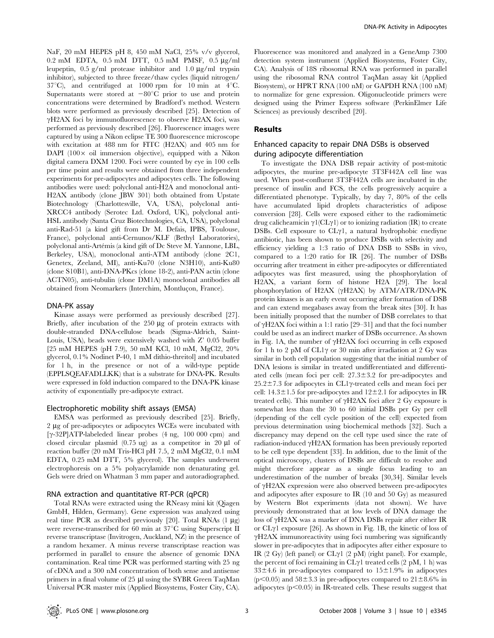NaF, 20 mM HEPES pH 8, 450 mM NaCl, 25% v/v glycerol, 0.2 mM EDTA, 0.5 mM DTT, 0.5 mM PMSF, 0.5 mg/ml leupeptin,  $0.5$  g/ml protease inhibitor and  $1.0 \mu$ g/ml trypsin inhibitor), subjected to three freeze/thaw cycles (liquid nitrogen/  $37^{\circ}$ C), and centrifuged at 1000 rpm for 10 min at 4 $^{\circ}$ C. Supernatants were stored at  $-80^{\circ}$ C prior to use and protein concentrations were determined by Bradford's method. Western blots were performed as previously described [25]. Detection of  $\gamma$ H2AX foci by immunofluorescence to observe H2AX foci, was performed as previously described [26]. Fluorescence images were captured by using a Nikon eclipse TE 300 fluorescence microscope with excitation at 488 nm for FITC (H2AX) and 405 nm for DAPI  $(100 \times$  oil immersion objective), equipped with a Nikon digital camera DXM 1200. Foci were counted by eye in 100 cells per time point and results were obtained from three independent experiments for pre-adipocytes and adipocytes cells. The following antibodies were used: polyclonal anti-H2A and monoclonal anti-H2AX antibody (clone JBW 301) both obtained from Upstate Biotechnology (Charlottesville, VA, USA), polyclonal anti-XRCC4 antibody (Serotec Ltd. Oxford, UK), polyclonal anti-HSL antibody (Santa Cruz Biotechnologies, CA, USA), polyclonal anti-Rad-51 (a kind gift from Dr M. Defais, IPBS, Toulouse, France), polyclonal anti-Cernunos/KLF (Bethyl Laboratories), polyclonal anti-Artémis (a kind gift of Dc Steve M. Yannone, LBL, Berkeley, USA), monoclonal anti-ATM antibody (clone 2C1, Genetex, Zeeland, MI), anti-Ku70 (clone N3H10), anti-Ku80 (clone S10B1), anti-DNA-PKcs (clone 18-2), anti-PAN actin (clone ACTN05), anti-tubulin (clone DM1A) monoclonal antibodies all obtained from Neomarkers (Interchim, Montluçon, France).

#### DNA-PK assay

Kinase assays were performed as previously described [27]. Briefly, after incubation of the  $250 \mu$ g of protein extracts with double-stranded DNA-cellulose beads (Sigma-Aldrich, Saint-Louis, USA), beads were extensively washed with Z' 0.05 buffer [25 mM HEPES (pH 7.9), 50 mM KCl, 10 mM, MgCl2, 20% glycerol, 0.1% Nodinet P-40, 1 mM dithio-threitol] and incubated for 1 h, in the presence or not of a wild-type peptide (EPPLSQEAFADLLKK) that is a substrate for DNA-PK. Results were expressed in fold induction compared to the DNA-PK kinase activity of exponentially pre-adipocyte extract.

#### Electrophoretic mobility shift assays (EMSA)

EMSA was performed as previously described [25]. Briefly, 2 µg of pre-adipocytes or adipocytes WCEs were incubated with  $[\gamma$ -32P]ATP-labeleded linear probes (4 ng, 100 000 cpm) and closed circular plasmid  $(0.75 \text{ ug})$  as a competitor in 20  $\mu$ l of reaction buffer (20 mM Tris-HCl pH 7.5, 2 mM MgCl2, 0.1 mM EDTA, 0.25 mM DTT, 5% glycerol). The samples underwent electrophoresis on a 5% polyacrylamide non denaturating gel. Gels were dried on Whatman 3 mm paper and autoradiographed.

#### RNA extraction and quantitative RT-PCR (qPCR)

Total RNAs were extracted using the RNeasy mini kit (Qiagen GmbH, Hilden, Germany). Gene expression was analyzed using real time PCR as described previously [20]. Total RNAs  $(1 \mu g)$ were reverse-transcribed for 60 min at  $37^{\circ}$ C using Superscript II reverse transcriptase (Invitrogen, Auckland, NZ) in the presence of a random hexamer. A minus reverse transcriptase reaction was performed in parallel to ensure the absence of genomic DNA contamination. Real time PCR was performed starting with 25 ng of cDNA and a 300 nM concentration of both sense and antisense primers in a final volume of 25  $\mu$ l using the SYBR Green TaqMan Universal PCR master mix (Applied Biosystems, Foster City, CA).

Fluorescence was monitored and analyzed in a GeneAmp 7300 detection system instrument (Applied Biosystems, Foster City, CA). Analysis of 18S ribosomal RNA was performed in parallel using the ribosomal RNA control TaqMan assay kit (Applied Biosystem), or HPRT RNA (100 nM) or GAPDH RNA (100 nM) to normalize for gene expression. Oligonucleotide primers were designed using the Primer Express software (PerkinElmer Life Sciences) as previously described [20].

#### Results

## Enhanced capacity to repair DNA DSBs is observed during adipocyte differentiation

To investigate the DNA DSB repair activity of post-mitotic adipocytes, the murine pre-adipocyte 3T3F442A cell line was used. When post-confluent 3T3F442A cells are incubated in the presence of insulin and FCS, the cells progressively acquire a differentiated phenotype. Typically, by day 7, 80% of the cells have accumulated lipid droplets characteristics of adipose conversion [28]. Cells were exposed either to the radiomimetic drug calicheamicin  $\gamma$ 1(CL $\gamma$ 1) or to ionizing radiation (IR) to create DSBs. Cell exposure to  $CL\gamma1$ , a natural hydrophobic enediyne antibiotic, has been shown to produce DSBs with selectivity and efficiency yielding a 1:3 ratio of DNA DSB to SSBs in vivo, compared to a 1:20 ratio for IR [26]. The number of DSBs occurring after treatment in either pre-adipocytes or differentiated adipocytes was first measured, using the phosphorylation of H2AX, a variant form of histone H2A [29]. The local phosphorylation of H2AX  $(\gamma$ H2AX) by ATM/ATR/DNA-PK protein kinases is an early event occurring after formation of DSB and can extend megabases away from the break sites [30]. It has been initially proposed that the number of DSB correlates to that of  $\gamma$ H2AX foci within a 1:1 ratio [29–31] and that the foci number could be used as an indirect marker of DSBs occurrence. As shown in Fig. 1A, the number of  $\gamma$ H2AX foci occurring in cells exposed for 1 h to 2 pM of CL1 $\gamma$  or 30 min after irradiation at 2 Gy was similar in both cell population suggesting that the initial number of DNA lesions is similar in treated undifferentiated and differentiated cells (mean foci per cell:  $27.3 \pm 3.2$  for pre-adipocytes and  $25.2 \pm 7.3$  for adipocytes in CL1 $\gamma$ -treated cells and mean foci per cell:  $14.3\pm1.5$  for pre-adipocytes and  $12\pm2.1$  for adipocytes in IR treated cells). This number of  $\gamma$ H2AX foci after 2 Gy exposure is somewhat less than the 30 to 60 initial DSBs per Gy per cell (depending of the cell cycle position of the cell) expected from previous determination using biochemical methods [32]. Such a discrepancy may depend on the cell type used since the rate of radiation-induced  $\gamma$ H2AX formation has been previously reported to be cell type dependent [33]. In addition, due to the limit of the optical microscopy, clusters of DSBs are difficult to resolve and might therefore appear as a single focus leading to an underestimation of the number of breaks [30,34]. Similar levels of  $\gamma$ H2AX expression were also observed between pre-adipocytes and adipocytes after exposure to IR (10 and 50 Gy) as measured by Western Blot experiments (data not shown). We have previously demonstrated that at low levels of DNA damage the loss of  $\gamma$ H2AX was a marker of DNA DSBs repair after either IR or  $CL\gamma1$  exposure [26]. As shown in Fig. 1B, the kinetic of loss of  $\gamma$ H2AX immunoreactivity using foci numbering was significantly slower in pre-adipocytes that in adipocytes after either exposure to IR (2 Gy) (left panel) or  $CL\gamma1$  (2 pM) (right panel). For example, the percent of foci remaining in  $CL\gamma1$  treated cells (2 pM, 1 h) was  $33\pm4.6$  in pre-adipocytes compared to  $15\pm1.9\%$  in adipocytes ( $p<0.05$ ) and  $58\pm3.3$  in pre-adipocytes compared to  $21\pm8.6\%$  in adipocytes  $(p<0.05)$  in IR-treated cells. These results suggest that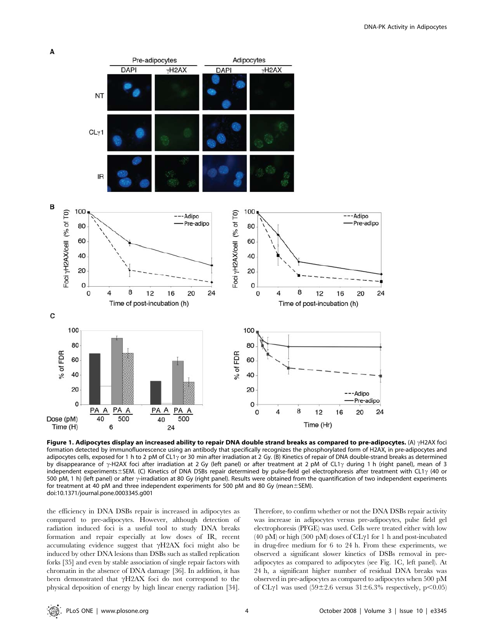

Figure 1. Adipocytes display an increased ability to repair DNA double strand breaks as compared to pre-adipocytes. (A)  $\gamma$ H2AX foci formation detected by immunofluorescence using an antibody that specifically recognizes the phosphorylated form of H2AX, in pre-adipocytes and adipocytes cells, exposed for 1 h to 2 pM of CL1 $\gamma$  or 30 min after irradiation at 2 Gy. (B) Kinetics of repair of DNA double-strand breaks as determined by disappearance of  $\gamma$ -H2AX foci after irradiation at 2 Gy (left panel) or after treatment at 2 pM of CL1 $\gamma$  during 1 h (right panel), mean of 3 independent experiments±SEM. (C) Kinetics of DNA DSBs repair determined by pulse-field gel electrophoresis after treatment with CL1 $\gamma$  (40 or 500 pM, 1 h) (left panel) or after  $\gamma$ -irradiation at 80 Gy (right panel). Results were obtained from the quantification of two independent experiments for treatment at 40 pM and three independent experiments for 500 pM and 80 Gy (mean $\pm$ SEM). doi:10.1371/journal.pone.0003345.g001

the efficiency in DNA DSBs repair is increased in adipocytes as compared to pre-adipocytes. However, although detection of radiation induced foci is a useful tool to study DNA breaks formation and repair especially at low doses of IR, recent accumulating evidence suggest that  $\gamma$ H2AX foci might also be induced by other DNA lesions than DSBs such as stalled replication forks [35] and even by stable association of single repair factors with chromatin in the absence of DNA damage [36]. In addition, it has been demonstrated that  $\gamma$ H2AX foci do not correspond to the physical deposition of energy by high linear energy radiation [34].

Therefore, to confirm whether or not the DNA DSBs repair activity was increase in adipocytes versus pre-adipocytes, pulse field gel electrophoresis (PFGE) was used. Cells were treated either with low (40 pM) or high (500 pM) doses of CL $\gamma$ 1 for 1 h and post-incubated in drug-free medium for 6 to 24 h. From these experiments, we observed a significant slower kinetics of DSBs removal in preadipocytes as compared to adipocytes (see Fig. 1C, left panel). At 24 h, a significant higher number of residual DNA breaks was observed in pre-adipocytes as compared to adipocytes when 500 pM of CL $\gamma$ 1 was used (59±2.6 versus 31±6.3% respectively, p<0.05)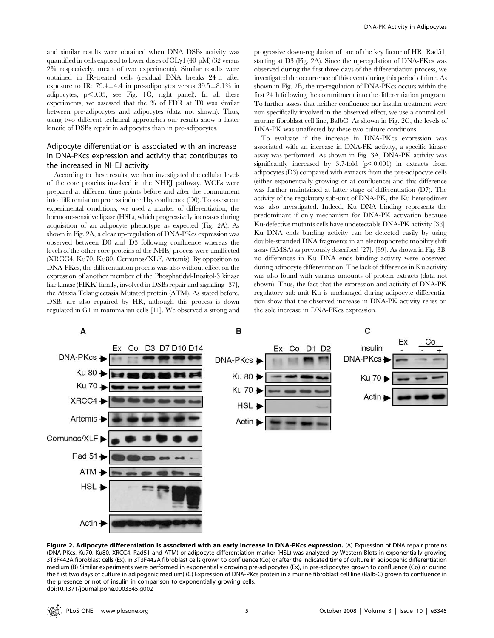and similar results were obtained when DNA DSBs activity was quantified in cells exposed to lower doses of  $CL\gamma1$  (40 pM) (32 versus 2% respectively, mean of two experiments). Similar results were obtained in IR-treated cells (residual DNA breaks 24 h after exposure to IR: 79.4 $\pm$ 4.4 in pre-adipocytes versus 39.5 $\pm$ 8.1% in adipocytes,  $p<0.05$ , see Fig. 1C, right panel). In all these experiments, we assessed that the % of FDR at T0 was similar between pre-adipocytes and adipocytes (data not shown). Thus, using two different technical approaches our results show a faster kinetic of DSBs repair in adipocytes than in pre-adipocytes.

## Adipocyte differentiation is associated with an increase in DNA-PKcs expression and activity that contributes to the increased in NHEJ activity

According to these results, we then investigated the cellular levels of the core proteins involved in the NHEJ pathway. WCEs were prepared at different time points before and after the commitment into differentiation process induced by confluence (D0). To assess our experimental conditions, we used a marker of differentiation, the hormone-sensitive lipase (HSL), which progressively increases during acquisition of an adipocyte phenotype as expected (Fig. 2A). As shown in Fig. 2A, a clear up-regulation of DNA-PKcs expression was observed between D0 and D3 following confluence whereas the levels of the other core proteins of the NHEJ process were unaffected (XRCC4, Ku70, Ku80, Cernunos/XLF, Artemis). By opposition to DNA-PKcs, the differentiation process was also without effect on the expression of another member of the Phosphatidyl-Inositol-3 kinase like kinase (PIKK) family, involved in DSBs repair and signaling [37], the Ataxia Telangiectasia Mutated protein (ATM). As stated before, DSBs are also repaired by HR, although this process is down regulated in G1 in mammalian cells [11]. We observed a strong and progressive down-regulation of one of the key factor of HR, Rad51, starting at D3 (Fig. 2A). Since the up-regulation of DNA-PKcs was observed during the first three days of the differentiation process, we investigated the occurrence of this event during this period of time. As shown in Fig. 2B, the up-regulation of DNA-PKcs occurs within the first 24 h following the commitment into the differentiation program. To further assess that neither confluence nor insulin treatment were non specifically involved in the observed effect, we use a control cell murine fibroblast cell line, BalbC. As shown in Fig. 2C, the levels of DNA-PK was unaffected by these two culture conditions.

To evaluate if the increase in DNA-PKcs expression was associated with an increase in DNA-PK activity, a specific kinase assay was performed. As shown in Fig. 3A, DNA-PK activity was significantly increased by 3.7-fold  $(p<0.001)$  in extracts from adipocytes (D3) compared with extracts from the pre-adipocyte cells (either exponentially growing or at confluence) and this difference was further maintained at latter stage of differentiation (D7). The activity of the regulatory sub-unit of DNA-PK, the Ku heterodimer was also investigated. Indeed, Ku DNA binding represents the predominant if only mechanism for DNA-PK activation because Ku-defective mutants cells have undetectable DNA-PK activity [38]. Ku DNA ends binding activity can be detected easily by using double-stranded DNA fragments in an electrophoretic mobility shift assay (EMSA) as previously described [27], [39]. As shown in Fig. 3B, no differences in Ku DNA ends binding activity were observed during adipocyte differentiation. The lack of difference in Ku activity was also found with various amounts of protein extracts (data not shown). Thus, the fact that the expression and activity of DNA-PK regulatory sub-unit Ku is unchanged during adipocyte differentiation show that the observed increase in DNA-PK activity relies on the sole increase in DNA-PKcs expression.



Figure 2. Adipocyte differentiation is associated with an early increase in DNA-PKcs expression. (A) Expression of DNA repair proteins (DNA-PKcs, Ku70, Ku80, XRCC4, Rad51 and ATM) or adipocyte differentiation marker (HSL) was analyzed by Western Blots in exponentially growing 3T3F442A fibroblast cells (Ex), in 3T3F442A fibroblast cells grown to confluence (Co) or after the indicated time of culture in adipogenic differentiation medium (B) Similar experiments were performed in exponentially growing pre-adipocytes (Ex), in pre-adipocytes grown to confluence (Co) or during the first two days of culture in adipogenic medium) (C) Expression of DNA-PKcs protein in a murine fibroblast cell line (Balb-C) grown to confluence in the presence or not of insulin in comparison to exponentially growing cells. doi:10.1371/journal.pone.0003345.g002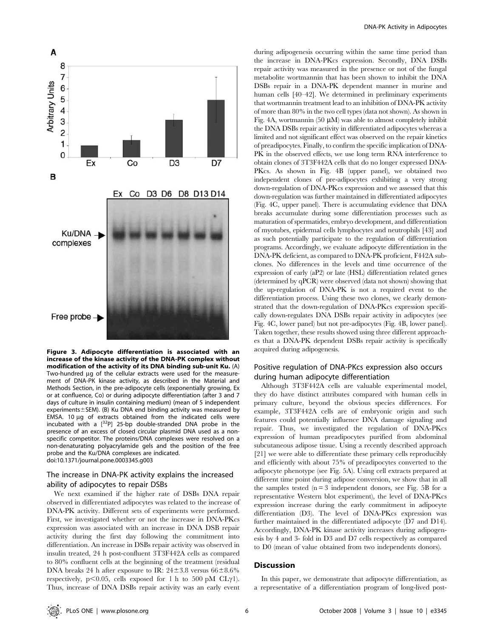

Figure 3. Adipocyte differentiation is associated with an increase of the kinase activity of the DNA-PK complex without modification of the activity of its DNA binding sub-unit Ku. (A) Two-hundred µg of the cellular extracts were used for the measurement of DNA-PK kinase activity, as described in the Material and Methods Section, in the pre-adipocyte cells (exponentially growing, Ex or at confluence, Co) or during adipocyte differentiation (after 3 and 7 days of culture in insulin containing medium) (mean of 5 independent experiments $\pm$ SEM). (B) Ku DNA end binding activity was measured by EMSA. 10 µg of extracts obtained from the indicated cells were incubated with a  $[^{32}P]$  25-bp double-stranded DNA probe in the presence of an excess of closed circular plasmid DNA used as a nonspecific competitor. The proteins/DNA complexes were resolved on a non-denaturating polyacrylamide gels and the position of the free probe and the Ku/DNA complexes are indicated. doi:10.1371/journal.pone.0003345.g003

## The increase in DNA-PK activity explains the increased ability of adipocytes to repair DSBs

We next examined if the higher rate of DSBs DNA repair observed in differentiated adipocytes was related to the increase of DNA-PK activity. Different sets of experiments were performed. First, we investigated whether or not the increase in DNA-PKcs expression was associated with an increase in DNA DSB repair activity during the first day following the commitment into differentiation. An increase in DSBs repair activity was observed in insulin treated, 24 h post-confluent 3T3F442A cells as compared to 80% confluent cells at the beginning of the treatment (residual DNA breaks 24 h after exposure to IR:  $24\pm3.8$  versus  $66\pm8.6\%$ respectively, p $< 0.05$ , cells exposed for 1 h to 500 pM CL $\gamma$ 1). Thus, increase of DNA DSBs repair activity was an early event during adipogenesis occurring within the same time period than the increase in DNA-PKcs expression. Secondly, DNA DSBs repair activity was measured in the presence or not of the fungal metabolite wortmannin that has been shown to inhibit the DNA DSBs repair in a DNA-PK dependent manner in murine and human cells [40–42]. We determined in preliminary experiments that wortmannin treatment lead to an inhibition of DNA-PK activity of more than 80% in the two cell types (data not shown). As shown in Fig. 4A, wortmannin (50  $\mu$ M) was able to almost completely inhibit the DNA DSBs repair activity in differentiated adipocytes whereas a limited and not significant effect was observed on the repair kinetics of preadipocytes. Finally, to confirm the specific implication of DNA-PK in the observed effects, we use long term RNA interference to obtain clones of 3T3F442A cells that do no longer expressed DNA-PKcs. As shown in Fig. 4B (upper panel), we obtained two independent clones of pre-adipocytes exhibiting a very strong down-regulation of DNA-PKcs expression and we assessed that this down-regulation was further maintained in differentiated adipocytes (Fig. 4C, upper panel). There is accumulating evidence that DNA breaks accumulate during some differentiation processes such as maturation of spermatides, embryo development, and differentiation of myotubes, epidermal cells lymphocytes and neutrophils [43] and as such potentially participate to the regulation of differentiation programs. Accordingly, we evaluate adipocyte differentiation in the DNA-PK deficient, as compared to DNA-PK proficient, F442A subclones. No differences in the levels and time occurrence of the expression of early (aP2) or late (HSL) differentiation related genes (determined by qPCR) were observed (data not shown) showing that the up-regulation of DNA-PK is not a required event to the differentiation process. Using these two clones, we clearly demonstrated that the down-regulation of DNA-PKcs expression specifically down-regulates DNA DSBs repair activity in adipocytes (see Fig. 4C, lower panel) but not pre-adipocytes (Fig. 4B, lower panel). Taken together, these results showed using three different approaches that a DNA-PK dependent DSBs repair activity is specifically acquired during adipogenesis.

## Positive regulation of DNA-PKcs expression also occurs during human adipocyte differentiation

Although 3T3F442A cells are valuable experimental model, they do have distinct attributes compared with human cells in primary culture, beyond the obvious species differences. For example, 3T3F442A cells are of embryonic origin and such features could potentially influence DNA damage signaling and repair. Thus, we investigated the regulation of DNA-PKcs expression of human preadipocytes purified from abdominal subcutaneous adipose tissue. Using a recently described approach [21] we were able to differentiate these primary cells reproducibly and efficiently with about 75% of preadipocytes converted to the adipocyte phenotype (see Fig. 5A). Using cell extracts prepared at different time point during adipose conversion, we show that in all the samples tested  $(n = 3$  independent donors, see Fig. 5B for a representative Western blot experiment), the level of DNA-PKcs expression increase during the early commitment in adipocyte differentiation (D3). The level of DNA-PKcs expression was further maintained in the differentiated adipocyte (D7 and D14). Accordingly, DNA-PK kinase activity increases during adipogenesis by 4 and 3- fold in D3 and D7 cells respectively as compared to D0 (mean of value obtained from two independents donors).

#### **Discussion**

In this paper, we demonstrate that adipocyte differentiation, as a representative of a differentiation program of long-lived post-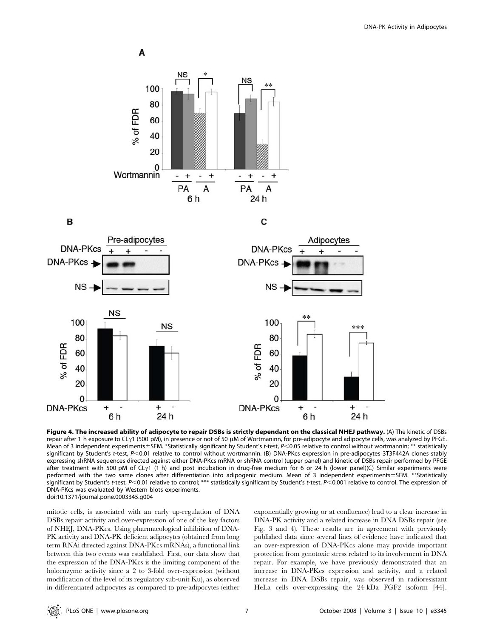

Figure 4. The increased ability of adipocyte to repair DSBs is strictly dependant on the classical NHEJ pathway. (A) The kinetic of DSBs repair after 1 h exposure to CL $\gamma$ 1 (500 pM), in presence or not of 50 µM of Wortmaninn, for pre-adipocyte and adipocyte cells, was analyzed by PFGE. Mean of 3 independent experiments $\pm$ SEM. \*Statistically significant by Student's t-test, P<0.05 relative to control without wortmannin; \*\* statistically significant by Student's t-test,  $P \le 0.01$  relative to control without wortmannin. (B) DNA-PKcs expression in pre-adipocytes 3T3F442A clones stably expressing shRNA sequences directed against either DNA-PKcs mRNA or shRNA control (upper panel) and kinetic of DSBs repair performed by PFGE after treatment with 500 pM of CL $\gamma$ 1 (1 h) and post incubation in drug-free medium for 6 or 24 h (lower panel)(C) Similar experiments were performed with the two same clones after differentiation into adipogenic medium. Mean of 3 independent experiments±SEM. \*\*Statistically significant by Student's t-test, P<0.01 relative to control; \*\*\* statistically significant by Student's t-test, P<0.001 relative to control. The expression of DNA-PKcs was evaluated by Western blots experiments. doi:10.1371/journal.pone.0003345.g004

mitotic cells, is associated with an early up-regulation of DNA DSBs repair activity and over-expression of one of the key factors of NHEJ, DNA-PKcs. Using pharmacological inhibition of DNA-PK activity and DNA-PK deficient adipocytes (obtained from long term RNAi directed against DNA-PKcs mRNAs), a functional link between this two events was established. First, our data show that the expression of the DNA-PKcs is the limiting component of the holoenzyme activity since a 2 to 3-fold over-expression (without modification of the level of its regulatory sub-unit Ku), as observed in differentiated adipocytes as compared to pre-adipocytes (either exponentially growing or at confluence) lead to a clear increase in DNA-PK activity and a related increase in DNA DSBs repair (see Fig. 3 and 4). These results are in agreement with previously published data since several lines of evidence have indicated that an over-expression of DNA-PKcs alone may provide important protection from genotoxic stress related to its involvement in DNA repair. For example, we have previously demonstrated that an increase in DNA-PKcs expression and activity, and a related increase in DNA DSBs repair, was observed in radioresistant HeLa cells over-expressing the 24 kDa FGF2 isoform [44].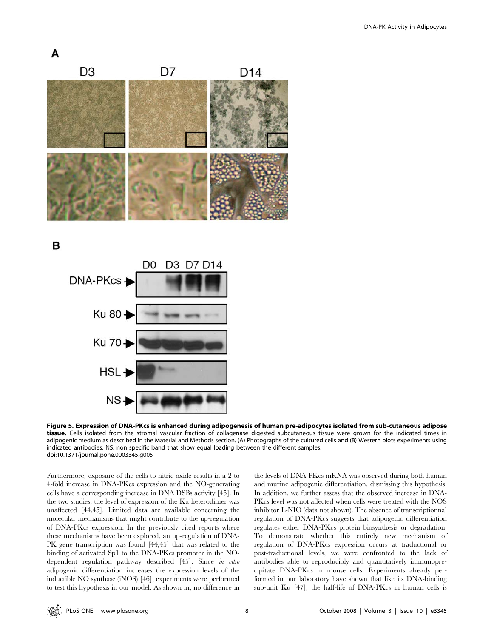## A



в



Figure 5. Expression of DNA-PKcs is enhanced during adipogenesis of human pre-adipocytes isolated from sub-cutaneous adipose tissue. Cells isolated from the stromal vascular fraction of collagenase digested subcutaneous tissue were grown for the indicated times in adipogenic medium as described in the Material and Methods section. (A) Photographs of the cultured cells and (B) Western blots experiments using indicated antibodies. NS, non specific band that show equal loading between the different samples. doi:10.1371/journal.pone.0003345.g005

Furthermore, exposure of the cells to nitric oxide results in a 2 to 4-fold increase in DNA-PKcs expression and the NO-generating cells have a corresponding increase in DNA DSBs activity [45]. In the two studies, the level of expression of the Ku heterodimer was unaffected [44,45]. Limited data are available concerning the molecular mechanisms that might contribute to the up-regulation of DNA-PKcs expression. In the previously cited reports where these mechanisms have been explored, an up-regulation of DNA-PK gene transcription was found [44,45] that was related to the binding of activated Sp1 to the DNA-PKcs promoter in the NOdependent regulation pathway described [45]. Since in vitro adipogenic differentiation increases the expression levels of the inductible NO synthase (iNOS) [46], experiments were performed to test this hypothesis in our model. As shown in, no difference in

the levels of DNA-PKcs mRNA was observed during both human and murine adipogenic differentiation, dismissing this hypothesis. In addition, we further assess that the observed increase in DNA-PKcs level was not affected when cells were treated with the NOS inhibitor L-NIO (data not shown). The absence of transcriptionnal regulation of DNA-PKcs suggests that adipogenic differentiation regulates either DNA-PKcs protein biosynthesis or degradation. To demonstrate whether this entirely new mechanism of regulation of DNA-PKcs expression occurs at traductional or post-traductional levels, we were confronted to the lack of antibodies able to reproducibly and quantitatively immunoprecipitate DNA-PKcs in mouse cells. Experiments already performed in our laboratory have shown that like its DNA-binding sub-unit Ku [47], the half-life of DNA-PKcs in human cells is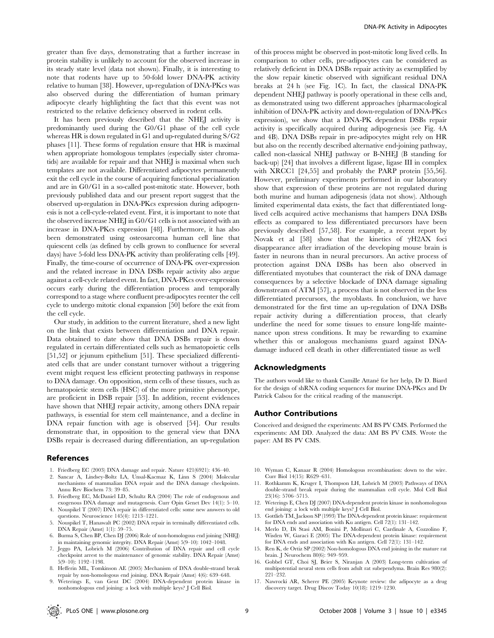greater than five days, demonstrating that a further increase in protein stability is unlikely to account for the observed increase in its steady state level (data not shown). Finally, it is interesting to note that rodents have up to 50-fold lower DNA-PK activity relative to human [38]. However, up-regulation of DNA-PKcs was also observed during the differentiation of human primary adipocyte clearly highlighting the fact that this event was not restricted to the relative deficiency observed in rodent cells.

It has been previously described that the NHEJ activity is predominantly used during the G0/G1 phase of the cell cycle whereas HR is down regulated in G1 and up-regulated during S/G2 phases [11]. These forms of regulation ensure that HR is maximal when appropriate homologous templates (especially sister chromatids) are available for repair and that NHEJ is maximal when such templates are not available. Differentiated adipocytes permanently exit the cell cycle in the course of acquiring functional specialization and are in G0/G1 in a so-called post-mitotic state. However, both previously published data and our present report suggest that the observed up-regulation in DNA-PKcs expression during adipogenesis is not a cell-cycle-related event. First, it is important to note that the observed increase NHEJ in G0/G1 cells is not associated with an increase in DNA-PKcs expression [48]. Furthermore, it has also been demonstrated using osteosarcoma human cell line that quiescent cells (as defined by cells grown to confluence for several days) have 5-fold less DNA-PK activity than proliferating cells [49]. Finally, the time-course of occurrence of DNA-PK over-expression and the related increase in DNA DSBs repair activity also argue against a cell-cycle related event. In fact, DNA-PKcs over-expression occurs early during the differentiation process and temporally correspond to a stage where confluent pre-adipocytes reenter the cell cycle to undergo mitotic clonal expansion [50] before the exit from the cell cycle.

Our study, in addition to the current literature, shed a new light on the link that exists between differentiation and DNA repair. Data obtained to date show that DNA DSBs repair is down regulated in certain differentiated cells such as hematopoietic cells [51,52] or jejunum epithelium [51]. These specialized differentiated cells that are under constant turnover without a triggering event might request less efficient protecting pathways in response to DNA damage. On opposition, stem cells of these tissues, such as hematopoietic stem cells (HSC) of the more primitive phenotype, are proficient in DSB repair [53]. In addition, recent evidences have shown that NHEJ repair activity, among others DNA repair pathways, is essential for stem cell maintenance, and a decline in DNA repair function with age is observed [54]. Our results demonstrate that, in opposition to the general view that DNA DSBs repair is decreased during differentiation, an up-regulation

#### References

- 1. Friedberg EC (2003) DNA damage and repair. Nature 421(6921): 436–40.
- 2. Sancar A, Lindsey-Boltz LA, Unsal-Kacmaz K, Linn S (2004) Molecular mechanisms of mammalian DNA repair and the DNA damage checkpoints. Annu Rev Biochem 73: 39–85.
- 3. Friedberg EC, McDaniel LD, Schultz RA (2004) The role of endogenous and exogenous DNA damage and mutagenesis. Curr Opin Genet Dev 14(1): 5–10.
- 4. Nouspikel T (2007) DNA repair in differentiated cells: some new answers to old questions. Neuroscience 145(4): 1213–1221.
- 5. Nouspikel T, Hanawalt PC (2002) DNA repair in terminally differentiated cells. DNA Repair (Amst) 1(1): 59–75.
- 6. Burma S, Chen BP, Chen DJ (2006) Role of non-homologous end joining (NHEJ) in maintaining genomic integrity. DNA Repair (Amst) 5(9–10): 1042–1048.
- 7. Jeggo PA, Lobrich M (2006) Contribution of DNA repair and cell cycle checkpoint arrest to the maintenance of genomic stability. DNA Repair (Amst) 5(9–10): 1192–1198.
- 8. Hefferin ML, Tomkinson AE (2005) Mechanism of DNA double-strand break repair by non-homologous end joining. DNA Repair (Amst) 4(6): 639–648.
- 9. Weterings E, van Gent DC (2004) DNA-dependent protein kinase in nonhomologous end joining: a lock with multiple keys? J Cell Biol.

of this process might be observed in post-mitotic long lived cells. In comparison to other cells, pre-adipocytes can be considered as relatively deficient in DNA DSBs repair activity as exemplified by the slow repair kinetic observed with significant residual DNA breaks at 24 h (see Fig. 1C). In fact, the classical DNA-PK dependent NHEJ pathway is poorly operational in these cells and, as demonstrated using two different approaches (pharmacological inhibition of DNA-PK activity and down-regulation of DNA-PKcs expression), we show that a DNA-PK dependent DSBs repair activity is specifically acquired during adipogenesis (see Fig. 4A and 4B). DNA DSBs repair in pre-adipocytes might rely on HR but also on the recently described alternative end-joining pathway, called non-classical NHEJ pathway or B-NHEJ (B standing for back-up) [24] that involves a different ligase, ligase III in complex with XRCC1 [24,55] and probably the PARP protein [55,56]. However, preliminary experiments performed in our laboratory show that expression of these proteins are not regulated during both murine and human adipogenesis (data not show). Although limited experimental data exists, the fact that differentiated longlived cells acquired active mechanisms that hampers DNA DSBs effects as compared to less differentiated precursors have been previously described [57,58]. For example, a recent report by Novak et al [58] show that the kinetics of  $\gamma$ H2AX foci disappearance after irradiation of the developing mouse brain is faster in neurons than in neural precursors. An active process of protection against DNA DSBs has been also observed in differentiated myotubes that counteract the risk of DNA damage consequences by a selective blockade of DNA damage signaling downstream of ATM [57], a process that is not observed in the less differentiated precursors, the myoblasts. In conclusion, we have demonstrated for the first time an up-regulation of DNA DSBs repair activity during a differentiation process, that clearly underline the need for some tissues to ensure long-life maintenance upon stress conditions. It may be rewarding to examine whether this or analogous mechanisms guard against DNAdamage induced cell death in other differentiated tissue as well

#### Acknowledgments

The authors would like to thank Camille Attané for her help, Dr D. Biard for the design of shRNA coding sequences for murine DNA-PKcs and Dr Patrick Calsou for the critical reading of the manuscript.

#### Author Contributions

Conceived and designed the experiments: AM BS PV CMS. Performed the experiments: AM DD. Analyzed the data: AM BS PV CMS. Wrote the paper: AM BS PV CMS.

- 10. Wyman C, Kanaar R (2004) Homologous recombination: down to the wire. Curr Biol 14(15): R629–631.
- 11. Rothkamm K, Kruger I, Thompson LH, Lobrich M (2003) Pathways of DNA double-strand break repair during the mammalian cell cycle. Mol Cell Biol 23(16): 5706–5715.
- 12. Weterings E, Chen DJ (2007) DNA-dependent protein kinase in nonhomologous end joining: a lock with multiple keys? J Cell Biol.
- 13. Gottlieb TM, Jackson SP (1993) The DNA-dependent protein kinase: requirement for DNA ends and association with Ku antigen. Cell  $72(1)$ : 131-142.
- 14. Merlo D, Di Stasi AM, Bonini P, Mollinari C, Cardinale A, Cozzolino F, Wisden W, Garaci E (2005) The DNA-dependent protein kinase: requirement for DNA ends and association with Ku antigen. Cell 72(1): 131–142.
- 15. Ren K, de Ortiz SP (2002) Non-homologous DNA end joining in the mature rat brain. J Neurochem 80(6): 949–959.
- 16. Gobbel GT, Choi SJ, Beier S, Niranjan A (2003) Long-term cultivation of multipotential neural stem cells from adult rat subependyma. Brain Res 980(2): 221–232.
- 17. Nawrocki AR, Scherer PE (2005) Keynote review: the adipocyte as a drug discovery target. Drug Discov Today 10(18): 1219–1230.